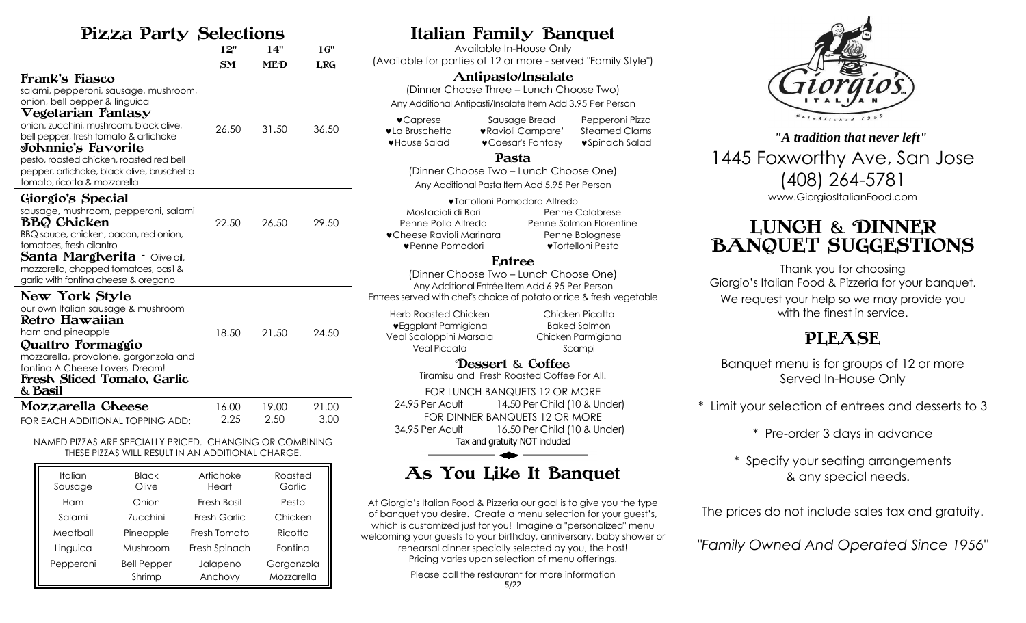## Pizza Party Selections

| <u>Elle I di I,y</u> polocitolip                                                                                                                                                                                                                                                                                                                                                |       |            |            |
|---------------------------------------------------------------------------------------------------------------------------------------------------------------------------------------------------------------------------------------------------------------------------------------------------------------------------------------------------------------------------------|-------|------------|------------|
|                                                                                                                                                                                                                                                                                                                                                                                 | 12"   | 14"        | 16"        |
|                                                                                                                                                                                                                                                                                                                                                                                 | SM    | <b>MED</b> | <b>LRG</b> |
| Frank's Fiasco<br>salami, pepperoni, sausage, mushroom,<br>onion, bell pepper & linguica<br>$\nabla$ egetarian Fanta $\mathbf{s}\mathbf{y}$<br>onion, zucchini, mushroom, black olive,<br>bell pepper, fresh tomato & artichoke<br>⊌ohnnie's Fa⊽orite<br>pesto, roasted chicken, roasted red bell<br>pepper, artichoke, black olive, bruschetta<br>tomato, ricotta & mozzarella | 26.50 | 31.50      | 36.50      |
| Giorgio's Special<br>sausage, mushroom, pepperoni, salami<br><b>BBQ Chicken</b><br>BBQ sauce, chicken, bacon, red onion,<br>tomatoes, fresh cilantro<br><b>Santa Margherita - Olive oil,</b><br>mozzarella, chopped tomatoes, basil &<br>garlic with fontina cheese & oregano                                                                                                   | 22.50 | 26.50      | 29.50      |
| New York Style<br>our own Italian sausage & mushroom<br>Retro Hawaiian<br>ham and pineapple<br>Quattro Formaggio<br>mozzarella, provolone, gorgonzola and<br>fonting A Cheese Lovers' Dream!<br>Fresh Sliced Tomato, Garlic<br>& Basil                                                                                                                                          | 18.50 | 21.50      | 24.50      |
| Mozzarella Cheese                                                                                                                                                                                                                                                                                                                                                               | 16.00 | 19.00      | 21.00      |
| FOR EACH ADDITIONAL TOPPING ADD:                                                                                                                                                                                                                                                                                                                                                | 2.25  | 2.50       | 3.00       |

NAMED PIZZAS ARE SPECIALLY PRICED. CHANGING OR COMBINING THESE PIZZAS WILL RESULT IN AN ADDITIONAL CHARGE.

| <b>Italian</b><br>Sausage | <b>Black</b><br>Olive        | Artichoke<br>Heart  | Roasted<br>Garlic        |
|---------------------------|------------------------------|---------------------|--------------------------|
| Ham                       | Onion                        | Fresh Basil         | Pesto                    |
| Salami                    | Zucchini                     | Fresh Garlic        | Chicken                  |
| Meatball                  | Pineapple                    | Fresh Tomato        | Ricotta                  |
| Linguica                  | Mushroom                     | Fresh Spinach       | Fontina                  |
| Pepperoni                 | <b>Bell Pepper</b><br>Shrimp | Jalapeno<br>Anchovy | Gorgonzola<br>Mozzarella |

# Italian Family Banquet

Available In-House Only (Available for parties of 12 or more - served "Family Style")

### Antipasto/Insalate

(Dinner Choose Three – Lunch Choose Two) Any Additional Antipasti/Insalate Item Add 3.95 Per Person

Caprese Sausage Bread Pepperoni Pizza **vla Bruschetta** vRavioli Campare' Steamed Clams • House Salad • Caesar's Fantasy • Spinach Salad

#### Pasta

(Dinner Choose Two – Lunch Choose One) Any Additional Pasta Item Add 5.95 Per Person

| ♥Tortolloni Pomodoro Alfredo      |                         |  |  |
|-----------------------------------|-------------------------|--|--|
| Mostacioli di Bari                | Penne Calabrese         |  |  |
| Penne Pollo Alfredo               | Penne Salmon Florentine |  |  |
| $\bullet$ Cheese Ravioli Marinara | Penne Bolognese         |  |  |
| ♥Penne Pomodori                   | ♥Tortelloni Pesto       |  |  |

## Entree

(Dinner Choose Two – Lunch Choose One) Any Additional Entrée Item Add 6.95 Per Person Entrees served with chef's choice of potato or rice & fresh vegetable

Herb Roasted Chicken Chicken Picatta **v** Eggplant Parmigiana **Baked Salmon** Veal Scaloppini Marsala Chicken Parmigiana Veal Piccata Scampi

Dessert & Coffee Tiramisu and Fresh Roasted Coffee For All!

FOR LUNCH BANQUETS 12 OR MORE 24.95 Per Adult 14.50 Per Child (10 & Under) FOR DINNER BANQUETS 12 OR MORE 34.95 Per Adult 16.50 Per Child (10 & Under) Tax and gratuity NOT included

# As You Like It Banquet

At Giorgio's Italian Food & Pizzeria our goal is to give you the type of banquet you desire. Create a menu selection for your guest's, which is customized just for you! Imagine a "personalized" menu welcoming your guests to your birthday, anniversary, baby shower or rehearsal dinner specially selected by you, the host! Pricing varies upon selection of menu offerings.

Please call the restaurant for more information

1445 Foxworthy Ave, San Jose (408) 264-5781 www.GiorgiosItalianFood.com *"A tradition that never left"*

# LUNCH & DINNER BANQUET SUGGESTIONS

Thank you for choosing Giorgio's Italian Food & Pizzeria for your banquet. We request your help so we may provide you with the finest in service.

# PLEASE

Banquet menu is for groups of 12 or more Served In-House Only

\* Limit your selection of entrees and desserts to 3

\* Pre-order 3 days in advance

\* Specify your seating arrangements & any special needs.

The prices do not include sales tax and gratuity.

*"Family Owned And Operated Since 1956"*